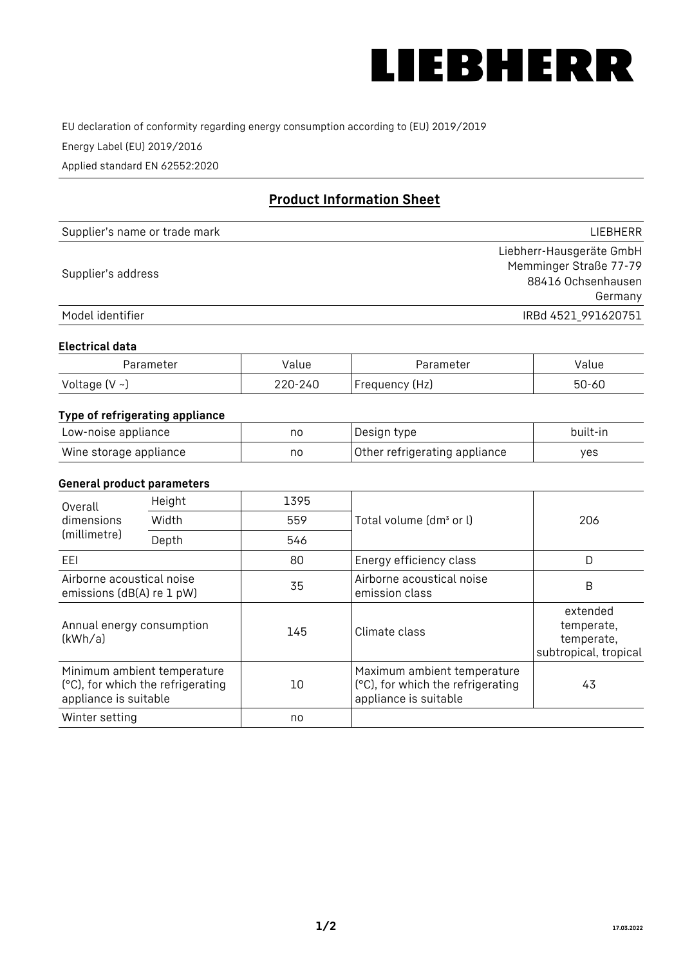

EU declaration of conformity regarding energy consumption according to (EU) 2019/2019

Energy Label (EU) 2019/2016

Applied standard EN 62552:2020

# **Product Information Sheet**

| Supplier's name or trade mark | <b>LIFBHFRR</b>          |
|-------------------------------|--------------------------|
|                               | Liebherr-Hausgeräte GmbH |
| Supplier's address            | Memminger Straße 77-79   |
|                               | 88416 Ochsenhausen       |
|                               | Germany                  |
| Model identifier              | IRBd 4521 991620751      |

#### **Electrical data**

| Parameter          | Value   | Parameter      | alue  |
|--------------------|---------|----------------|-------|
| Voltage $(V \sim)$ | 220-240 | Frequency (Hz) | 50-60 |

# **Type of refrigerating appliance**

| Low-noise appliance    | no | Design type                   | built-in |
|------------------------|----|-------------------------------|----------|
| Wine storage appliance | no | Other refrigerating appliance | yes      |

## **General product parameters**

| Height<br>Overall                                      |                                                                  | 1395 |                                                                                           |                                                               |
|--------------------------------------------------------|------------------------------------------------------------------|------|-------------------------------------------------------------------------------------------|---------------------------------------------------------------|
| dimensions<br>(millimetre)                             | Width                                                            | 559  | Total volume (dm <sup>3</sup> or l)                                                       | 206                                                           |
|                                                        | Depth                                                            | 546  |                                                                                           |                                                               |
| EEL                                                    |                                                                  | 80   | Energy efficiency class                                                                   | D                                                             |
| Airborne acoustical noise<br>emissions (dB(A) re 1 pW) |                                                                  | 35   | Airborne acoustical noise<br>emission class                                               | B                                                             |
| Annual energy consumption<br>(kWh/a)                   |                                                                  | 145  | Climate class                                                                             | extended<br>temperate,<br>temperate,<br>subtropical, tropical |
| appliance is suitable                                  | Minimum ambient temperature<br>(°C), for which the refrigerating | 10   | Maximum ambient temperature<br>(°C), for which the refrigerating<br>appliance is suitable | 43                                                            |
| Winter setting                                         |                                                                  | no   |                                                                                           |                                                               |